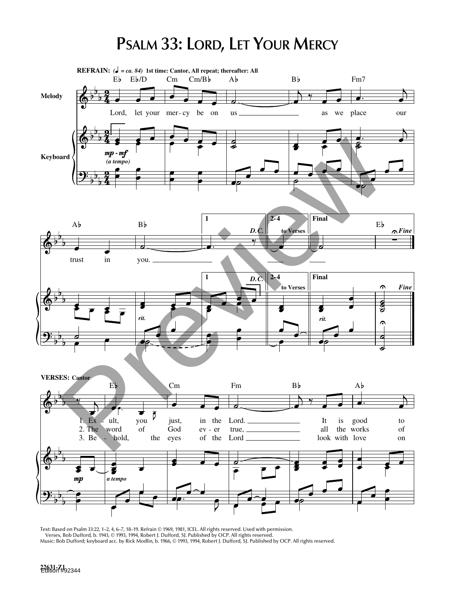## **PSALM 33: LORD, LET YOUR MERCY**



Text: Based on Psalm 33:22, 1–2, 4, 6–7, 18–19. Refrain © 1969, 1981, ICEL. All rights reserved. Used with permission. Verses, Bob Dufford, b. 1943, © 1993, 1994, Robert J. Dufford, SJ. Published by OCP. All rights reserved. Music: Bob Dufford; keyboard acc. by Rick Modlin, b. 1966, © 1993, 1994, Robert J. Dufford, SJ. Published by OCP. All rights reserved.